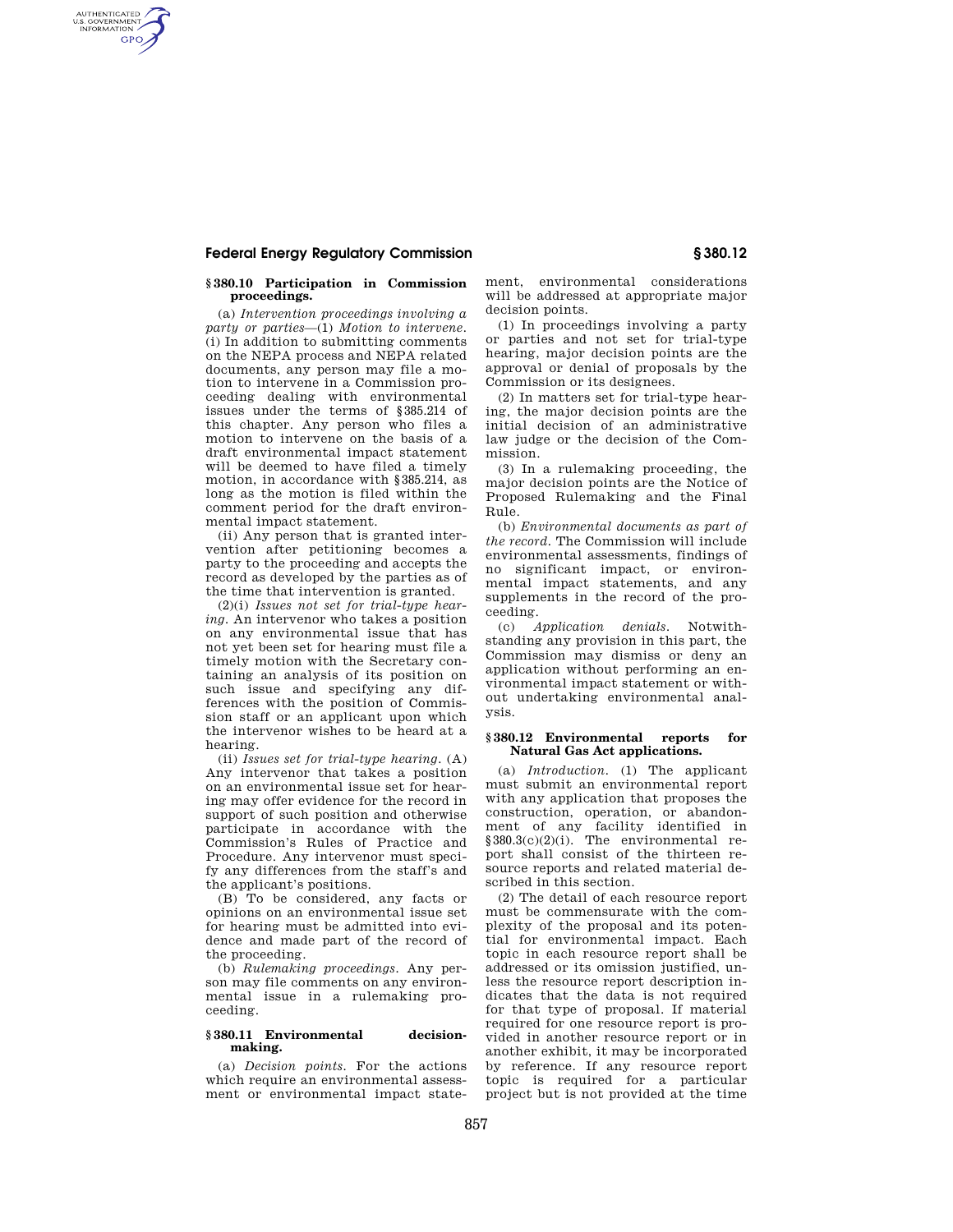AUTHENTICATED<br>U.S. GOVERNMENT<br>INFORMATION GPO

### **§ 380.10 Participation in Commission proceedings.**

(a) *Intervention proceedings involving a party or parties—*(1) *Motion to intervene.* (i) In addition to submitting comments on the NEPA process and NEPA related documents, any person may file a motion to intervene in a Commission proceeding dealing with environmental issues under the terms of § 385.214 of this chapter. Any person who files a motion to intervene on the basis of a draft environmental impact statement will be deemed to have filed a timely motion, in accordance with § 385.214, as long as the motion is filed within the comment period for the draft environmental impact statement.

(ii) Any person that is granted intervention after petitioning becomes a party to the proceeding and accepts the record as developed by the parties as of the time that intervention is granted.

(2)(i) *Issues not set for trial-type hearing.* An intervenor who takes a position on any environmental issue that has not yet been set for hearing must file a timely motion with the Secretary containing an analysis of its position on such issue and specifying any differences with the position of Commission staff or an applicant upon which the intervenor wishes to be heard at a hearing.

(ii) *Issues set for trial-type hearing.* (A) Any intervenor that takes a position on an environmental issue set for hearing may offer evidence for the record in support of such position and otherwise participate in accordance with the Commission's Rules of Practice and Procedure. Any intervenor must specify any differences from the staff's and the applicant's positions.

(B) To be considered, any facts or opinions on an environmental issue set for hearing must be admitted into evidence and made part of the record of the proceeding.

(b) *Rulemaking proceedings.* Any person may file comments on any environmental issue in a rulemaking proceeding.

### **§ 380.11 Environmental decisionmaking.**

(a) *Decision points.* For the actions which require an environmental assessment or environmental impact statement, environmental considerations will be addressed at appropriate major decision points.

(1) In proceedings involving a party or parties and not set for trial-type hearing, major decision points are the approval or denial of proposals by the Commission or its designees.

(2) In matters set for trial-type hearing, the major decision points are the initial decision of an administrative law judge or the decision of the Commission.

(3) In a rulemaking proceeding, the major decision points are the Notice of Proposed Rulemaking and the Final Rule.

(b) *Environmental documents as part of the record.* The Commission will include environmental assessments, findings of no significant impact, or environmental impact statements, and any supplements in the record of the proceeding.

(c) *Application denials.* Notwithstanding any provision in this part, the Commission may dismiss or deny an application without performing an environmental impact statement or without undertaking environmental analysis.

### **§ 380.12 Environmental reports for Natural Gas Act applications.**

(a) *Introduction.* (1) The applicant must submit an environmental report with any application that proposes the construction, operation, or abandonment of any facility identified in  $§ 380.3(c)(2)(i)$ . The environmental report shall consist of the thirteen resource reports and related material described in this section.

(2) The detail of each resource report must be commensurate with the complexity of the proposal and its potential for environmental impact. Each topic in each resource report shall be addressed or its omission justified, unless the resource report description indicates that the data is not required for that type of proposal. If material required for one resource report is provided in another resource report or in another exhibit, it may be incorporated by reference. If any resource report topic is required for a particular project but is not provided at the time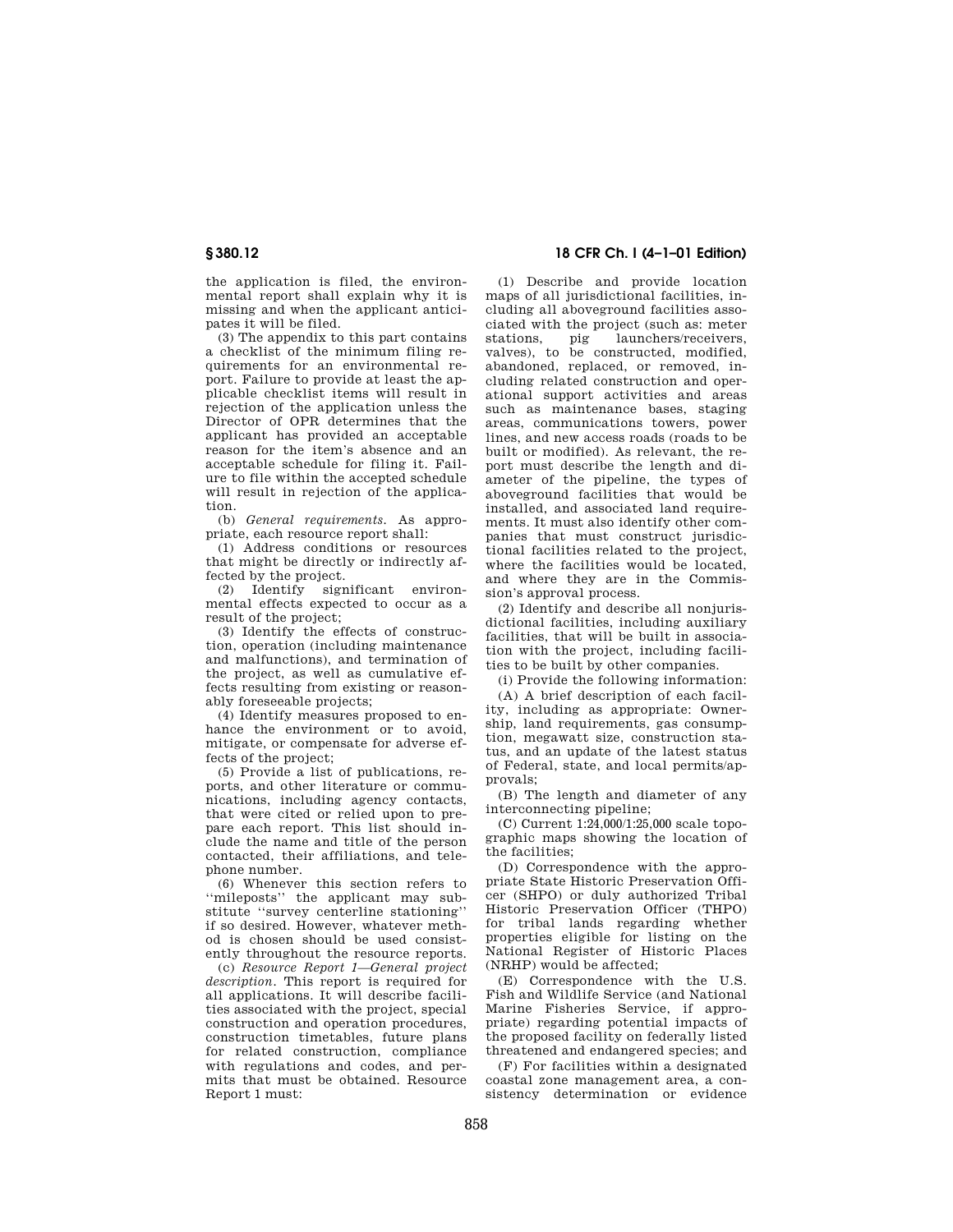the application is filed, the environmental report shall explain why it is missing and when the applicant anticipates it will be filed.

(3) The appendix to this part contains a checklist of the minimum filing requirements for an environmental report. Failure to provide at least the applicable checklist items will result in rejection of the application unless the Director of OPR determines that the applicant has provided an acceptable reason for the item's absence and an acceptable schedule for filing it. Failure to file within the accepted schedule will result in rejection of the application.

(b) *General requirements.* As appropriate, each resource report shall:

(1) Address conditions or resources that might be directly or indirectly affected by the project.

(2) Identify significant environmental effects expected to occur as a result of the project;

(3) Identify the effects of construction, operation (including maintenance and malfunctions), and termination of the project, as well as cumulative effects resulting from existing or reasonably foreseeable projects;

(4) Identify measures proposed to enhance the environment or to avoid, mitigate, or compensate for adverse effects of the project;

(5) Provide a list of publications, reports, and other literature or communications, including agency contacts, that were cited or relied upon to prepare each report. This list should include the name and title of the person contacted, their affiliations, and telephone number.

(6) Whenever this section refers to ''mileposts'' the applicant may substitute ''survey centerline stationing'' if so desired. However, whatever method is chosen should be used consistently throughout the resource reports.

(c) *Resource Report 1—General project description.* This report is required for all applications. It will describe facilities associated with the project, special construction and operation procedures, construction timetables, future plans for related construction, compliance with regulations and codes, and permits that must be obtained. Resource Report 1 must:

# **§ 380.12 18 CFR Ch. I (4–1–01 Edition)**

(1) Describe and provide location maps of all jurisdictional facilities, including all aboveground facilities associated with the project (such as: meter pig launchers/receivers, valves), to be constructed, modified, abandoned, replaced, or removed, including related construction and operational support activities and areas such as maintenance bases, staging areas, communications towers, power lines, and new access roads (roads to be built or modified). As relevant, the report must describe the length and diameter of the pipeline, the types of aboveground facilities that would be installed, and associated land requirements. It must also identify other companies that must construct jurisdictional facilities related to the project, where the facilities would be located, and where they are in the Commission's approval process.

(2) Identify and describe all nonjurisdictional facilities, including auxiliary facilities, that will be built in association with the project, including facilities to be built by other companies.

(i) Provide the following information:

(A) A brief description of each facility, including as appropriate: Ownership, land requirements, gas consumption, megawatt size, construction status, and an update of the latest status of Federal, state, and local permits/approvals;

(B) The length and diameter of any interconnecting pipeline;

(C) Current 1:24,000/1:25,000 scale topographic maps showing the location of the facilities;

(D) Correspondence with the appropriate State Historic Preservation Officer (SHPO) or duly authorized Tribal Historic Preservation Officer (THPO) for tribal lands regarding whether properties eligible for listing on the National Register of Historic Places (NRHP) would be affected;

(E) Correspondence with the U.S. Fish and Wildlife Service (and National Marine Fisheries Service, if appropriate) regarding potential impacts of the proposed facility on federally listed threatened and endangered species; and

(F) For facilities within a designated coastal zone management area, a consistency determination or evidence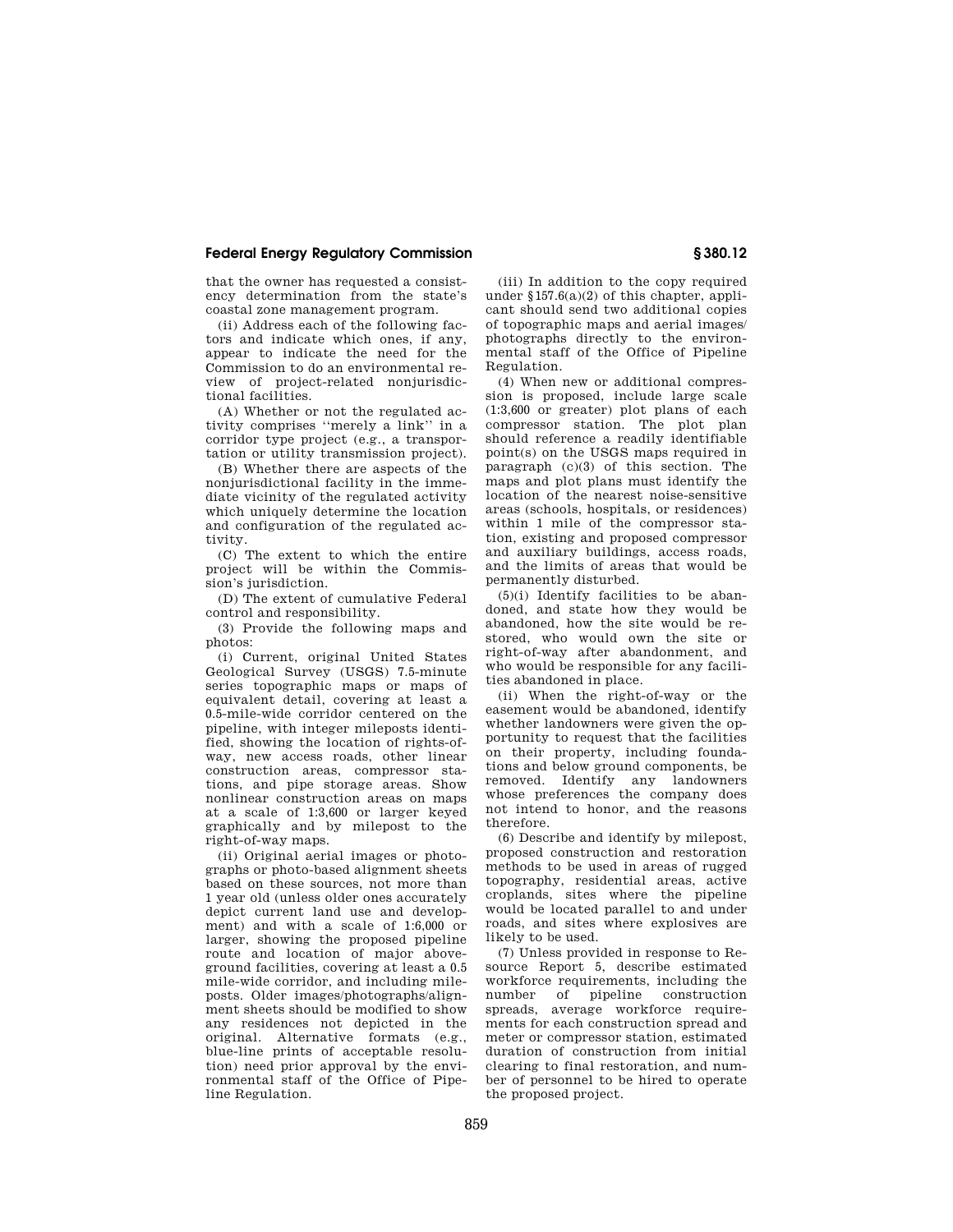that the owner has requested a consistency determination from the state's coastal zone management program.

(ii) Address each of the following factors and indicate which ones, if any, appear to indicate the need for the Commission to do an environmental review of project-related nonjurisdictional facilities.

(A) Whether or not the regulated activity comprises ''merely a link'' in a corridor type project (e.g., a transportation or utility transmission project).

(B) Whether there are aspects of the nonjurisdictional facility in the immediate vicinity of the regulated activity which uniquely determine the location and configuration of the regulated activity.

(C) The extent to which the entire project will be within the Commission's jurisdiction.

(D) The extent of cumulative Federal control and responsibility.

(3) Provide the following maps and photos:

(i) Current, original United States Geological Survey (USGS) 7.5-minute series topographic maps or maps of equivalent detail, covering at least a 0.5-mile-wide corridor centered on the pipeline, with integer mileposts identified, showing the location of rights-ofway, new access roads, other linear construction areas, compressor stations, and pipe storage areas. Show nonlinear construction areas on maps at a scale of 1:3,600 or larger keyed graphically and by milepost to the right-of-way maps.

(ii) Original aerial images or photographs or photo-based alignment sheets based on these sources, not more than 1 year old (unless older ones accurately depict current land use and development) and with a scale of 1:6,000 or larger, showing the proposed pipeline route and location of major aboveground facilities, covering at least a 0.5 mile-wide corridor, and including mileposts. Older images/photographs/alignment sheets should be modified to show any residences not depicted in the original. Alternative formats (e.g., blue-line prints of acceptable resolution) need prior approval by the environmental staff of the Office of Pipeline Regulation.

(iii) In addition to the copy required under  $$157.6(a)(2)$  of this chapter, applicant should send two additional copies of topographic maps and aerial images/ photographs directly to the environmental staff of the Office of Pipeline Regulation.

(4) When new or additional compression is proposed, include large scale (1:3,600 or greater) plot plans of each compressor station. The plot plan should reference a readily identifiable point(s) on the USGS maps required in paragraph (c)(3) of this section. The maps and plot plans must identify the location of the nearest noise-sensitive areas (schools, hospitals, or residences) within 1 mile of the compressor station, existing and proposed compressor and auxiliary buildings, access roads, and the limits of areas that would be permanently disturbed.

(5)(i) Identify facilities to be abandoned, and state how they would be abandoned, how the site would be restored, who would own the site or right-of-way after abandonment, and who would be responsible for any facilities abandoned in place.

(ii) When the right-of-way or the easement would be abandoned, identify whether landowners were given the opportunity to request that the facilities on their property, including foundations and below ground components, be removed. Identify any landowners whose preferences the company does not intend to honor, and the reasons therefore.

(6) Describe and identify by milepost, proposed construction and restoration methods to be used in areas of rugged topography, residential areas, active croplands, sites where the pipeline would be located parallel to and under roads, and sites where explosives are likely to be used.

(7) Unless provided in response to Resource Report 5, describe estimated workforce requirements, including the number of pipeline construction spreads, average workforce requirements for each construction spread and meter or compressor station, estimated duration of construction from initial clearing to final restoration, and number of personnel to be hired to operate the proposed project.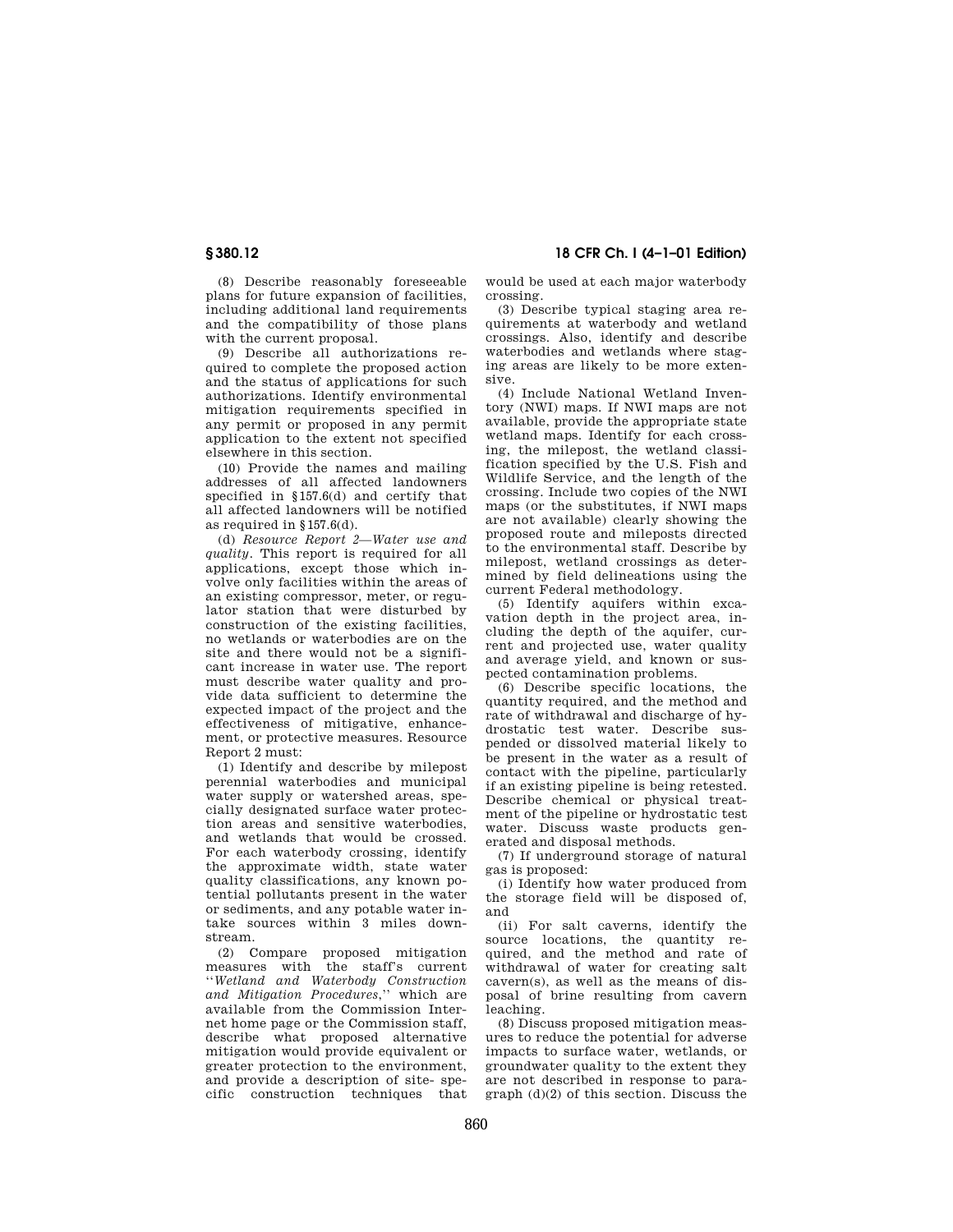**§ 380.12 18 CFR Ch. I (4–1–01 Edition)**

(8) Describe reasonably foreseeable plans for future expansion of facilities, including additional land requirements and the compatibility of those plans with the current proposal.

(9) Describe all authorizations required to complete the proposed action and the status of applications for such authorizations. Identify environmental mitigation requirements specified in any permit or proposed in any permit application to the extent not specified elsewhere in this section.

(10) Provide the names and mailing addresses of all affected landowners specified in § 157.6(d) and certify that all affected landowners will be notified as required in § 157.6(d).

(d) *Resource Report 2—Water use and quality.* This report is required for all applications, except those which involve only facilities within the areas of an existing compressor, meter, or regulator station that were disturbed by construction of the existing facilities, no wetlands or waterbodies are on the site and there would not be a significant increase in water use. The report must describe water quality and provide data sufficient to determine the expected impact of the project and the effectiveness of mitigative, enhancement, or protective measures. Resource Report 2 must:

(1) Identify and describe by milepost perennial waterbodies and municipal water supply or watershed areas, specially designated surface water protection areas and sensitive waterbodies, and wetlands that would be crossed. For each waterbody crossing, identify the approximate width, state water quality classifications, any known potential pollutants present in the water or sediments, and any potable water intake sources within 3 miles downstream.

(2) Compare proposed mitigation measures with the staff's current ''*Wetland and Waterbody Construction and Mitigation Procedures*,'' which are available from the Commission Internet home page or the Commission staff, describe what proposed alternative mitigation would provide equivalent or greater protection to the environment, and provide a description of site- specific construction techniques that

would be used at each major waterbody crossing.

(3) Describe typical staging area requirements at waterbody and wetland crossings. Also, identify and describe waterbodies and wetlands where staging areas are likely to be more extensive.

(4) Include National Wetland Inventory (NWI) maps. If NWI maps are not available, provide the appropriate state wetland maps. Identify for each crossing, the milepost, the wetland classification specified by the U.S. Fish and Wildlife Service, and the length of the crossing. Include two copies of the NWI maps (or the substitutes, if NWI maps are not available) clearly showing the proposed route and mileposts directed to the environmental staff. Describe by milepost, wetland crossings as determined by field delineations using the current Federal methodology.

(5) Identify aquifers within excavation depth in the project area, including the depth of the aquifer, current and projected use, water quality and average yield, and known or suspected contamination problems.

(6) Describe specific locations, the quantity required, and the method and rate of withdrawal and discharge of hydrostatic test water. Describe suspended or dissolved material likely to be present in the water as a result of contact with the pipeline, particularly if an existing pipeline is being retested. Describe chemical or physical treatment of the pipeline or hydrostatic test water. Discuss waste products generated and disposal methods.

(7) If underground storage of natural gas is proposed:

(i) Identify how water produced from the storage field will be disposed of, and

(ii) For salt caverns, identify the source locations, the quantity required, and the method and rate of withdrawal of water for creating salt cavern(s), as well as the means of disposal of brine resulting from cavern leaching.

(8) Discuss proposed mitigation measures to reduce the potential for adverse impacts to surface water, wetlands, or groundwater quality to the extent they are not described in response to paragraph (d)(2) of this section. Discuss the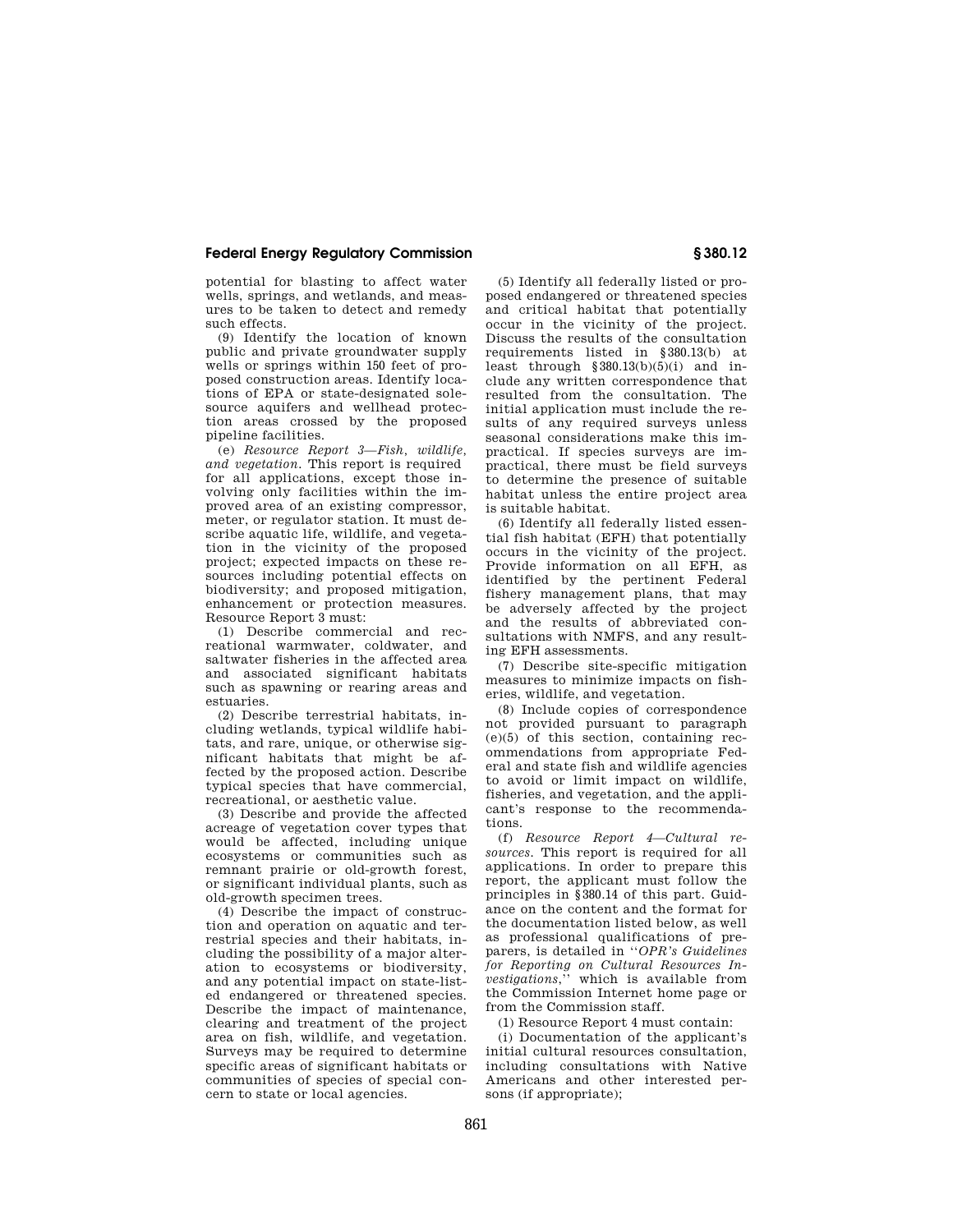potential for blasting to affect water wells, springs, and wetlands, and measures to be taken to detect and remedy such effects.

(9) Identify the location of known public and private groundwater supply wells or springs within 150 feet of proposed construction areas. Identify locations of EPA or state-designated solesource aquifers and wellhead protection areas crossed by the proposed pipeline facilities.

(e) *Resource Report 3—Fish, wildlife, and vegetation.* This report is required for all applications, except those involving only facilities within the improved area of an existing compressor, meter, or regulator station. It must describe aquatic life, wildlife, and vegetation in the vicinity of the proposed project; expected impacts on these resources including potential effects on biodiversity; and proposed mitigation, enhancement or protection measures. Resource Report 3 must:

(1) Describe commercial and recreational warmwater, coldwater, and saltwater fisheries in the affected area and associated significant habitats such as spawning or rearing areas and estuaries.

(2) Describe terrestrial habitats, including wetlands, typical wildlife habitats, and rare, unique, or otherwise significant habitats that might be affected by the proposed action. Describe typical species that have commercial, recreational, or aesthetic value.

(3) Describe and provide the affected acreage of vegetation cover types that would be affected, including unique ecosystems or communities such as remnant prairie or old-growth forest, or significant individual plants, such as old-growth specimen trees.

(4) Describe the impact of construction and operation on aquatic and terrestrial species and their habitats, including the possibility of a major alteration to ecosystems or biodiversity, and any potential impact on state-listed endangered or threatened species. Describe the impact of maintenance, clearing and treatment of the project area on fish, wildlife, and vegetation. Surveys may be required to determine specific areas of significant habitats or communities of species of special concern to state or local agencies.

(5) Identify all federally listed or proposed endangered or threatened species and critical habitat that potentially occur in the vicinity of the project. Discuss the results of the consultation requirements listed in § 380.13(b) at least through  $§ 380.13(b)(5)(i)$  and include any written correspondence that resulted from the consultation. The initial application must include the results of any required surveys unless seasonal considerations make this impractical. If species surveys are impractical, there must be field surveys to determine the presence of suitable habitat unless the entire project area is suitable habitat.

(6) Identify all federally listed essential fish habitat (EFH) that potentially occurs in the vicinity of the project. Provide information on all EFH, as identified by the pertinent Federal fishery management plans, that may be adversely affected by the project and the results of abbreviated consultations with NMFS, and any resulting EFH assessments.

(7) Describe site-specific mitigation measures to minimize impacts on fisheries, wildlife, and vegetation.

(8) Include copies of correspondence not provided pursuant to paragraph  $(e)(5)$  of this section, containing recommendations from appropriate Federal and state fish and wildlife agencies to avoid or limit impact on wildlife, fisheries, and vegetation, and the applicant's response to the recommendations.

(f) *Resource Report 4—Cultural resources.* This report is required for all applications. In order to prepare this report, the applicant must follow the principles in § 380.14 of this part. Guidance on the content and the format for the documentation listed below, as well as professional qualifications of preparers, is detailed in ''*OPR's Guidelines for Reporting on Cultural Resources Investigations*,'' which is available from the Commission Internet home page or from the Commission staff.

(1) Resource Report 4 must contain:

(i) Documentation of the applicant's initial cultural resources consultation, including consultations with Native Americans and other interested persons (if appropriate);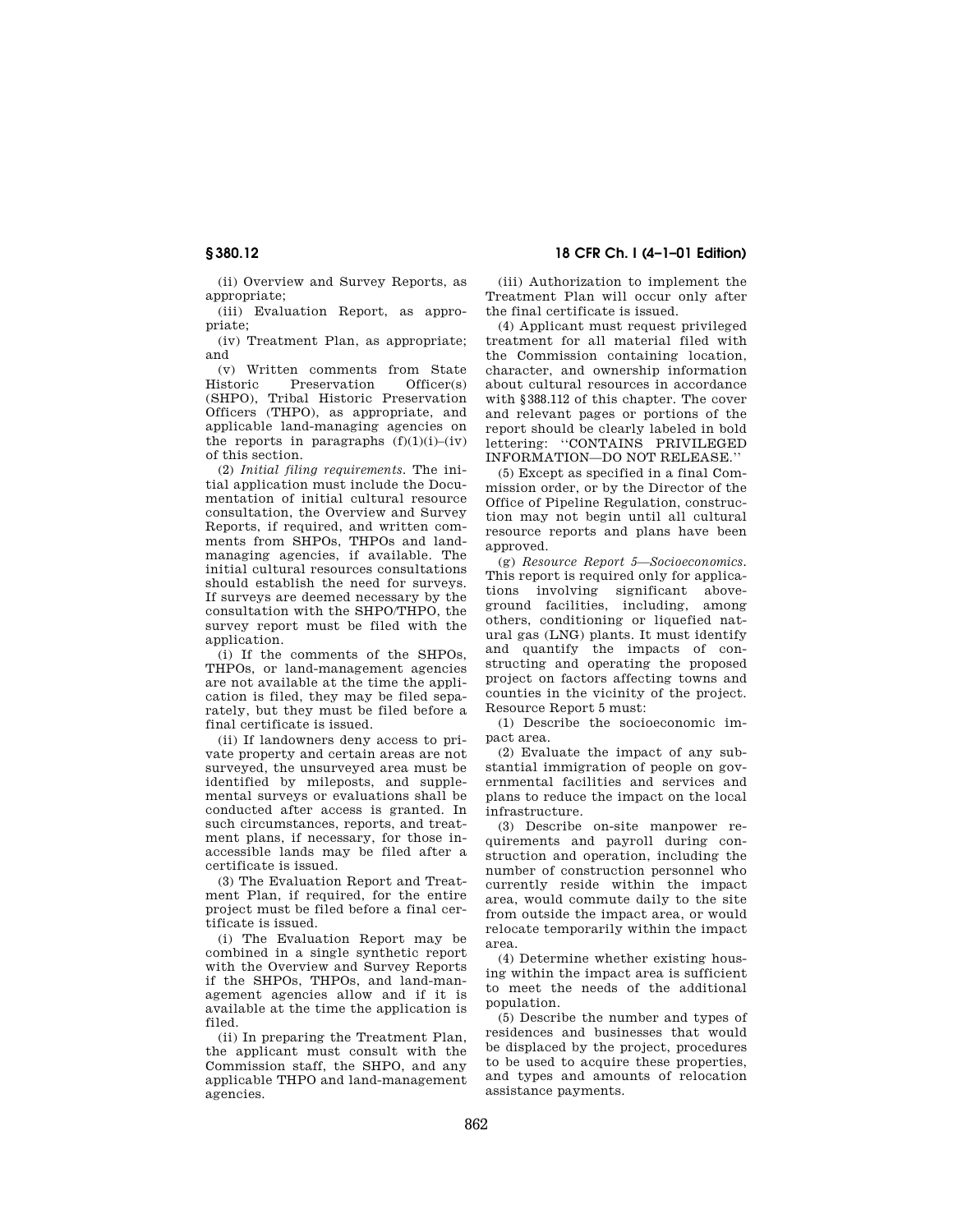(ii) Overview and Survey Reports, as appropriate;

(iii) Evaluation Report, as appropriate;

(iv) Treatment Plan, as appropriate; and

(v) Written comments from State Preservation Officer(s) (SHPO), Tribal Historic Preservation Officers (THPO), as appropriate, and applicable land-managing agencies on the reports in paragraphs  $(f)(1)(i)$ –(iv) of this section.

(2) *Initial filing requirements.* The initial application must include the Documentation of initial cultural resource consultation, the Overview and Survey Reports, if required, and written comments from SHPOs, THPOs and landmanaging agencies, if available. The initial cultural resources consultations should establish the need for surveys. If surveys are deemed necessary by the consultation with the SHPO/THPO, the survey report must be filed with the application.

(i) If the comments of the SHPOs, THPOs, or land-management agencies are not available at the time the application is filed, they may be filed separately, but they must be filed before a final certificate is issued.

(ii) If landowners deny access to private property and certain areas are not surveyed, the unsurveyed area must be identified by mileposts, and supplemental surveys or evaluations shall be conducted after access is granted. In such circumstances, reports, and treatment plans, if necessary, for those inaccessible lands may be filed after a certificate is issued.

(3) The Evaluation Report and Treatment Plan, if required, for the entire project must be filed before a final certificate is issued.

(i) The Evaluation Report may be combined in a single synthetic report with the Overview and Survey Reports if the SHPOs, THPOs, and land-management agencies allow and if it is available at the time the application is filed.

(ii) In preparing the Treatment Plan, the applicant must consult with the Commission staff, the SHPO, and any applicable THPO and land-management agencies.

**§ 380.12 18 CFR Ch. I (4–1–01 Edition)**

(iii) Authorization to implement the Treatment Plan will occur only after the final certificate is issued.

(4) Applicant must request privileged treatment for all material filed with the Commission containing location, character, and ownership information about cultural resources in accordance with § 388.112 of this chapter. The cover and relevant pages or portions of the report should be clearly labeled in bold lettering: ''CONTAINS PRIVILEGED INFORMATION—DO NOT RELEASE.''

(5) Except as specified in a final Commission order, or by the Director of the Office of Pipeline Regulation, construction may not begin until all cultural resource reports and plans have been approved.

(g) *Resource Report 5—Socioeconomics.* This report is required only for applications involving significant aboveground facilities, including, among others, conditioning or liquefied natural gas (LNG) plants. It must identify and quantify the impacts of constructing and operating the proposed project on factors affecting towns and counties in the vicinity of the project. Resource Report 5 must:

(1) Describe the socioeconomic impact area.

(2) Evaluate the impact of any substantial immigration of people on governmental facilities and services and plans to reduce the impact on the local infrastructure.

(3) Describe on-site manpower requirements and payroll during construction and operation, including the number of construction personnel who currently reside within the impact area, would commute daily to the site from outside the impact area, or would relocate temporarily within the impact area.

(4) Determine whether existing housing within the impact area is sufficient to meet the needs of the additional population.

(5) Describe the number and types of residences and businesses that would be displaced by the project, procedures to be used to acquire these properties, and types and amounts of relocation assistance payments.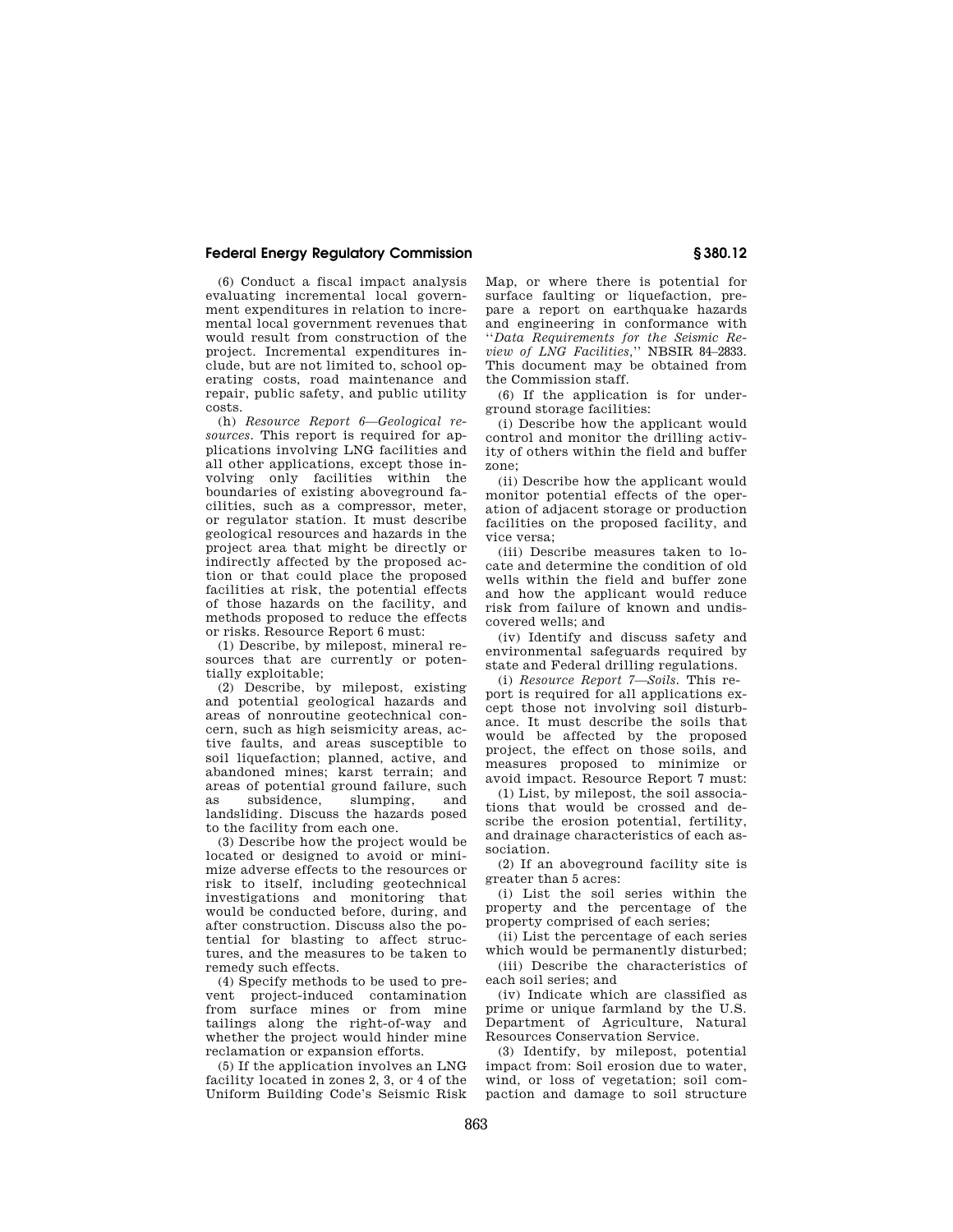(6) Conduct a fiscal impact analysis evaluating incremental local government expenditures in relation to incremental local government revenues that would result from construction of the project. Incremental expenditures include, but are not limited to, school operating costs, road maintenance and repair, public safety, and public utility costs.

(h) *Resource Report 6—Geological resources.* This report is required for applications involving LNG facilities and all other applications, except those involving only facilities within the boundaries of existing aboveground facilities, such as a compressor, meter, or regulator station. It must describe geological resources and hazards in the project area that might be directly or indirectly affected by the proposed action or that could place the proposed facilities at risk, the potential effects of those hazards on the facility, and methods proposed to reduce the effects or risks. Resource Report 6 must:

(1) Describe, by milepost, mineral resources that are currently or potentially exploitable;

(2) Describe, by milepost, existing and potential geological hazards and areas of nonroutine geotechnical concern, such as high seismicity areas, active faults, and areas susceptible to soil liquefaction; planned, active, and abandoned mines; karst terrain; and areas of potential ground failure, such as subsidence, slumping, and landsliding. Discuss the hazards posed to the facility from each one.

(3) Describe how the project would be located or designed to avoid or minimize adverse effects to the resources or risk to itself, including geotechnical investigations and monitoring that would be conducted before, during, and after construction. Discuss also the potential for blasting to affect structures, and the measures to be taken to remedy such effects.

(4) Specify methods to be used to prevent project-induced contamination from surface mines or from mine tailings along the right-of-way and whether the project would hinder mine reclamation or expansion efforts.

(5) If the application involves an LNG facility located in zones 2, 3, or 4 of the Uniform Building Code's Seismic Risk Map, or where there is potential for surface faulting or liquefaction, prepare a report on earthquake hazards and engineering in conformance with ''*Data Requirements for the Seismic Review of LNG Facilities,*'' NBSIR 84–2833. This document may be obtained from the Commission staff.

(6) If the application is for underground storage facilities:

(i) Describe how the applicant would control and monitor the drilling activity of others within the field and buffer zone;

(ii) Describe how the applicant would monitor potential effects of the operation of adjacent storage or production facilities on the proposed facility, and vice versa;

(iii) Describe measures taken to locate and determine the condition of old wells within the field and buffer zone and how the applicant would reduce risk from failure of known and undiscovered wells; and

(iv) Identify and discuss safety and environmental safeguards required by state and Federal drilling regulations.

(i) *Resource Report 7—Soils.* This report is required for all applications except those not involving soil disturbance. It must describe the soils that would be affected by the proposed project, the effect on those soils, and measures proposed to minimize or avoid impact. Resource Report 7 must:

(1) List, by milepost, the soil associations that would be crossed and describe the erosion potential, fertility, and drainage characteristics of each association.

(2) If an aboveground facility site is greater than 5 acres:

(i) List the soil series within the property and the percentage of the property comprised of each series;

(ii) List the percentage of each series which would be permanently disturbed;

(iii) Describe the characteristics of each soil series; and

(iv) Indicate which are classified as prime or unique farmland by the U.S. Department of Agriculture, Natural Resources Conservation Service.

(3) Identify, by milepost, potential impact from: Soil erosion due to water wind, or loss of vegetation; soil compaction and damage to soil structure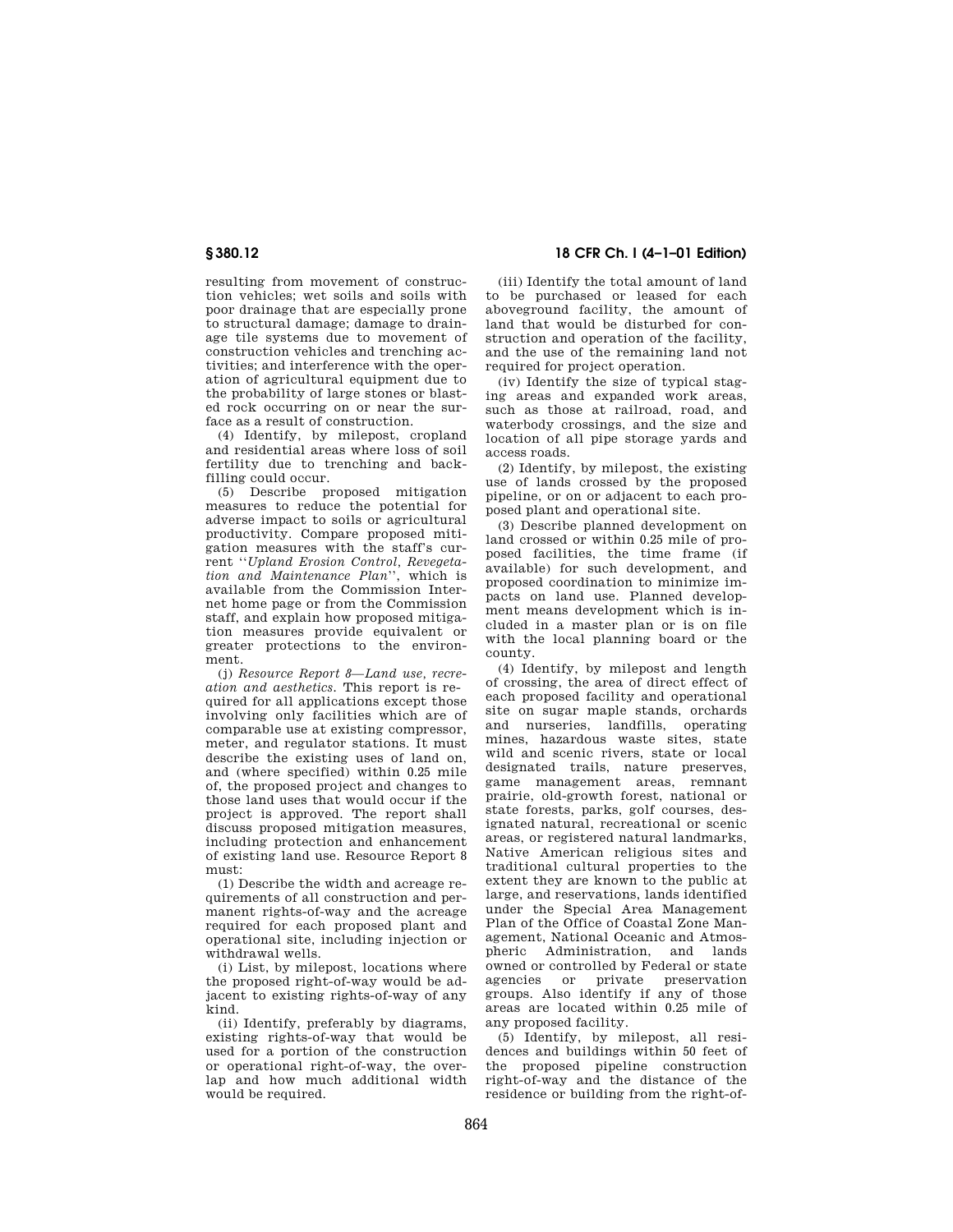resulting from movement of construction vehicles; wet soils and soils with poor drainage that are especially prone to structural damage; damage to drainage tile systems due to movement of construction vehicles and trenching activities; and interference with the operation of agricultural equipment due to the probability of large stones or blasted rock occurring on or near the surface as a result of construction.

(4) Identify, by milepost, cropland and residential areas where loss of soil fertility due to trenching and backfilling could occur.

(5) Describe proposed mitigation measures to reduce the potential for adverse impact to soils or agricultural productivity. Compare proposed mitigation measures with the staff's current ''*Upland Erosion Control, Revegetation and Maintenance Plan*'', which is available from the Commission Internet home page or from the Commission staff, and explain how proposed mitigation measures provide equivalent or greater protections to the environment.

(j) *Resource Report 8—Land use, recreation and aesthetics.* This report is required for all applications except those involving only facilities which are of comparable use at existing compressor, meter, and regulator stations. It must describe the existing uses of land on, and (where specified) within 0.25 mile of, the proposed project and changes to those land uses that would occur if the project is approved. The report shall discuss proposed mitigation measures, including protection and enhancement of existing land use. Resource Report 8 must:

(1) Describe the width and acreage requirements of all construction and permanent rights-of-way and the acreage required for each proposed plant and operational site, including injection or withdrawal wells.

(i) List, by milepost, locations where the proposed right-of-way would be adjacent to existing rights-of-way of any kind.

(ii) Identify, preferably by diagrams, existing rights-of-way that would be used for a portion of the construction or operational right-of-way, the overlap and how much additional width would be required.

**§ 380.12 18 CFR Ch. I (4–1–01 Edition)**

(iii) Identify the total amount of land to be purchased or leased for each aboveground facility, the amount of land that would be disturbed for construction and operation of the facility, and the use of the remaining land not required for project operation.

(iv) Identify the size of typical staging areas and expanded work areas, such as those at railroad, road, and waterbody crossings, and the size and location of all pipe storage yards and access roads.

(2) Identify, by milepost, the existing use of lands crossed by the proposed pipeline, or on or adjacent to each proposed plant and operational site.

(3) Describe planned development on land crossed or within 0.25 mile of proposed facilities, the time frame (if available) for such development, and proposed coordination to minimize impacts on land use. Planned development means development which is included in a master plan or is on file with the local planning board or the county.

(4) Identify, by milepost and length of crossing, the area of direct effect of each proposed facility and operational site on sugar maple stands, orchards and nurseries, landfills, operating mines, hazardous waste sites, state wild and scenic rivers, state or local designated trails, nature preserves, game management areas, remnant prairie, old-growth forest, national or state forests, parks, golf courses, designated natural, recreational or scenic areas, or registered natural landmarks, Native American religious sites and traditional cultural properties to the extent they are known to the public at large, and reservations, lands identified under the Special Area Management Plan of the Office of Coastal Zone Management, National Oceanic and Atmospheric Administration, and lands owned or controlled by Federal or state agencies or private preservation groups. Also identify if any of those areas are located within 0.25 mile of any proposed facility.

(5) Identify, by milepost, all residences and buildings within 50 feet of the proposed pipeline construction right-of-way and the distance of the residence or building from the right-of-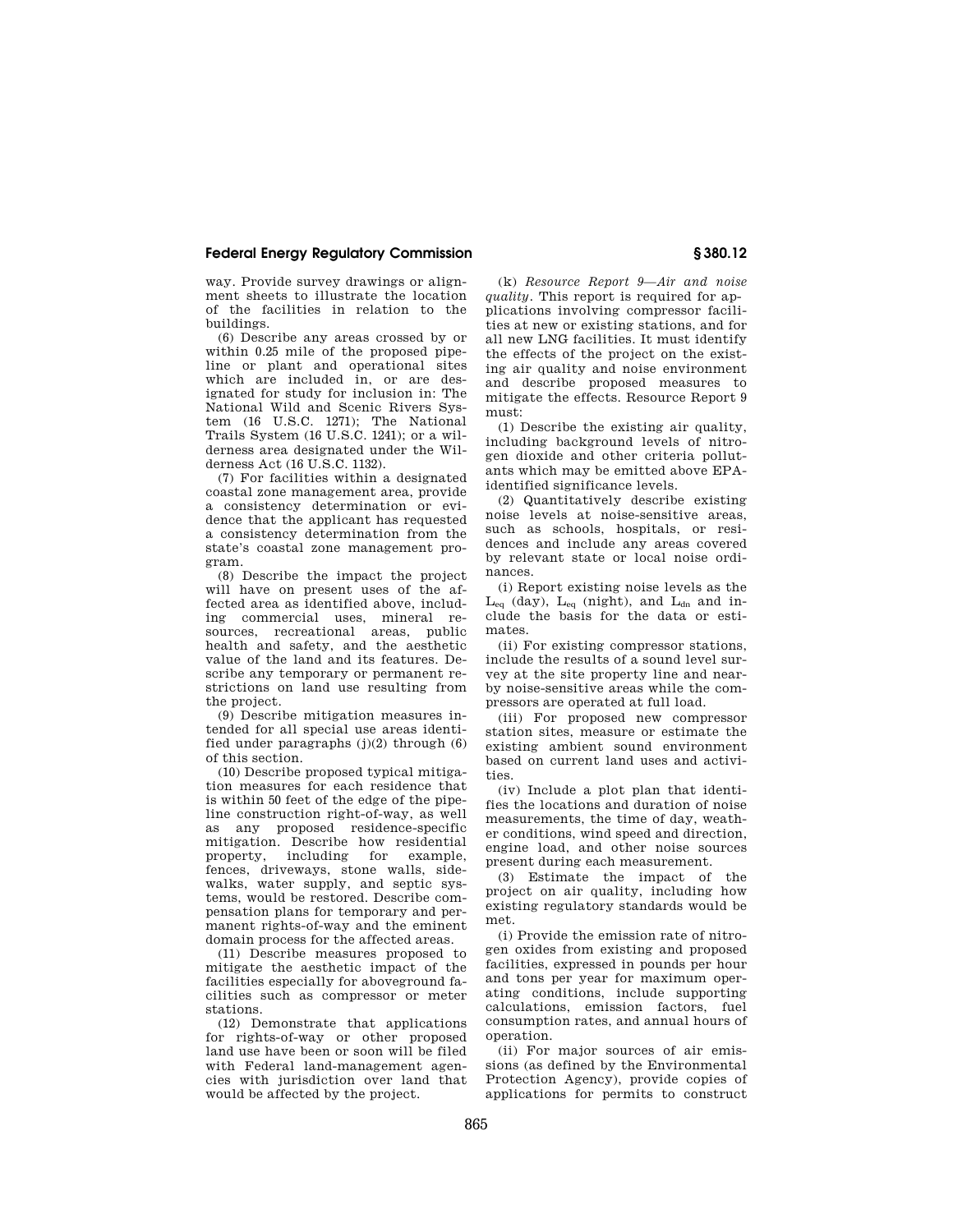way. Provide survey drawings or alignment sheets to illustrate the location of the facilities in relation to the buildings.

(6) Describe any areas crossed by or within 0.25 mile of the proposed pipeline or plant and operational sites which are included in, or are designated for study for inclusion in: The National Wild and Scenic Rivers System (16 U.S.C. 1271); The National Trails System (16 U.S.C. 1241); or a wilderness area designated under the Wilderness Act (16 U.S.C. 1132).

(7) For facilities within a designated coastal zone management area, provide a consistency determination or evidence that the applicant has requested a consistency determination from the state's coastal zone management program.

(8) Describe the impact the project will have on present uses of the affected area as identified above, including commercial uses, mineral resources, recreational areas, public health and safety, and the aesthetic value of the land and its features. Describe any temporary or permanent restrictions on land use resulting from the project.

(9) Describe mitigation measures intended for all special use areas identified under paragraphs  $(j)(2)$  through  $(6)$ of this section.

(10) Describe proposed typical mitigation measures for each residence that is within 50 feet of the edge of the pipeline construction right-of-way, as well as any proposed residence-specific mitigation. Describe how residential property, including for example, fences, driveways, stone walls, sidewalks, water supply, and septic systems, would be restored. Describe compensation plans for temporary and permanent rights-of-way and the eminent domain process for the affected areas.

(11) Describe measures proposed to mitigate the aesthetic impact of the facilities especially for aboveground facilities such as compressor or meter stations.

(12) Demonstrate that applications for rights-of-way or other proposed land use have been or soon will be filed with Federal land-management agencies with jurisdiction over land that would be affected by the project.

(k) *Resource Report 9—Air and noise quality.* This report is required for applications involving compressor facilities at new or existing stations, and for all new LNG facilities. It must identify the effects of the project on the existing air quality and noise environment and describe proposed measures to mitigate the effects. Resource Report 9 must:

(1) Describe the existing air quality, including background levels of nitrogen dioxide and other criteria pollutants which may be emitted above EPAidentified significance levels.

(2) Quantitatively describe existing noise levels at noise-sensitive areas, such as schools, hospitals, or residences and include any areas covered by relevant state or local noise ordinances.

(i) Report existing noise levels as the  $L_{eq}$  (day),  $L_{eq}$  (night), and  $L_{dn}$  and include the basis for the data or estimates.

(ii) For existing compressor stations, include the results of a sound level survey at the site property line and nearby noise-sensitive areas while the compressors are operated at full load.

(iii) For proposed new compressor station sites, measure or estimate the existing ambient sound environment based on current land uses and activities.

(iv) Include a plot plan that identifies the locations and duration of noise measurements, the time of day, weather conditions, wind speed and direction, engine load, and other noise sources present during each measurement.

(3) Estimate the impact of the project on air quality, including how existing regulatory standards would be met.

(i) Provide the emission rate of nitrogen oxides from existing and proposed facilities, expressed in pounds per hour and tons per year for maximum operating conditions, include supporting calculations, emission factors, fuel consumption rates, and annual hours of operation.

(ii) For major sources of air emissions (as defined by the Environmental Protection Agency), provide copies of applications for permits to construct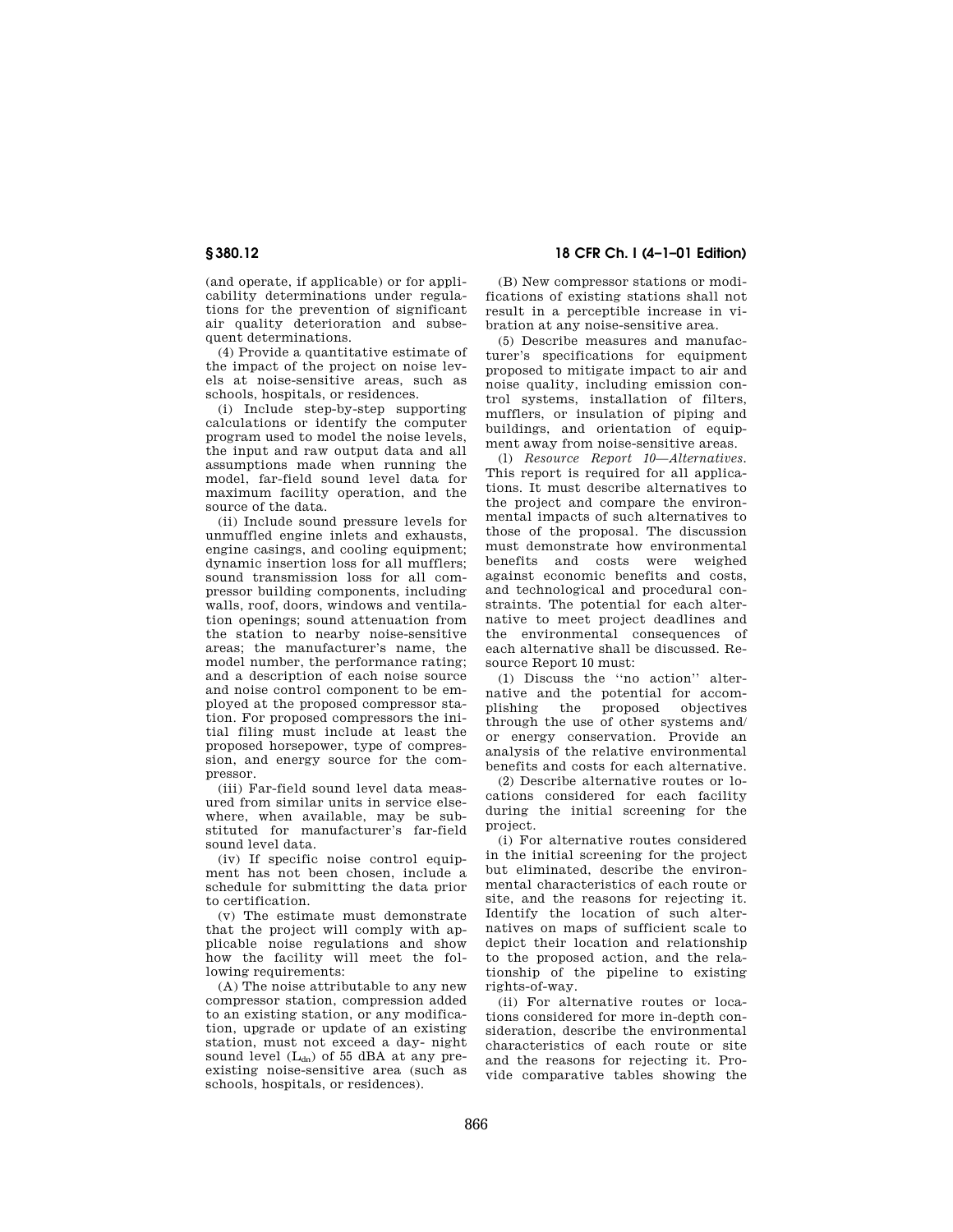(and operate, if applicable) or for applicability determinations under regulations for the prevention of significant air quality deterioration and subsequent determinations.

(4) Provide a quantitative estimate of the impact of the project on noise levels at noise-sensitive areas, such as schools, hospitals, or residences.

(i) Include step-by-step supporting calculations or identify the computer program used to model the noise levels, the input and raw output data and all assumptions made when running the model, far-field sound level data for maximum facility operation, and the source of the data.

(ii) Include sound pressure levels for unmuffled engine inlets and exhausts, engine casings, and cooling equipment; dynamic insertion loss for all mufflers; sound transmission loss for all compressor building components, including walls, roof, doors, windows and ventilation openings; sound attenuation from the station to nearby noise-sensitive areas; the manufacturer's name, the model number, the performance rating; and a description of each noise source and noise control component to be employed at the proposed compressor station. For proposed compressors the initial filing must include at least the proposed horsepower, type of compression, and energy source for the compressor.

(iii) Far-field sound level data measured from similar units in service elsewhere, when available, may be substituted for manufacturer's far-field sound level data.

(iv) If specific noise control equipment has not been chosen, include a schedule for submitting the data prior to certification.

(v) The estimate must demonstrate that the project will comply with applicable noise regulations and show how the facility will meet the following requirements:

(A) The noise attributable to any new compressor station, compression added to an existing station, or any modification, upgrade or update of an existing station, must not exceed a day- night sound level  $(L_{dn})$  of 55 dBA at any preexisting noise-sensitive area (such as schools, hospitals, or residences).

**§ 380.12 18 CFR Ch. I (4–1–01 Edition)**

(B) New compressor stations or modifications of existing stations shall not result in a perceptible increase in vibration at any noise-sensitive area.

(5) Describe measures and manufacturer's specifications for equipment proposed to mitigate impact to air and noise quality, including emission control systems, installation of filters, mufflers, or insulation of piping and buildings, and orientation of equipment away from noise-sensitive areas.

(l) *Resource Report 10—Alternatives.* This report is required for all applications. It must describe alternatives to the project and compare the environmental impacts of such alternatives to those of the proposal. The discussion must demonstrate how environmental benefits and costs were weighed against economic benefits and costs, and technological and procedural constraints. The potential for each alternative to meet project deadlines and the environmental consequences of each alternative shall be discussed. Resource Report 10 must:

(1) Discuss the ''no action'' alternative and the potential for accomplishing the proposed objectives through the use of other systems and/ or energy conservation. Provide an analysis of the relative environmental benefits and costs for each alternative.

(2) Describe alternative routes or locations considered for each facility during the initial screening for the project.

(i) For alternative routes considered in the initial screening for the project but eliminated, describe the environmental characteristics of each route or site, and the reasons for rejecting it. Identify the location of such alternatives on maps of sufficient scale to depict their location and relationship to the proposed action, and the relationship of the pipeline to existing rights-of-way.

(ii) For alternative routes or locations considered for more in-depth consideration, describe the environmental characteristics of each route or site and the reasons for rejecting it. Provide comparative tables showing the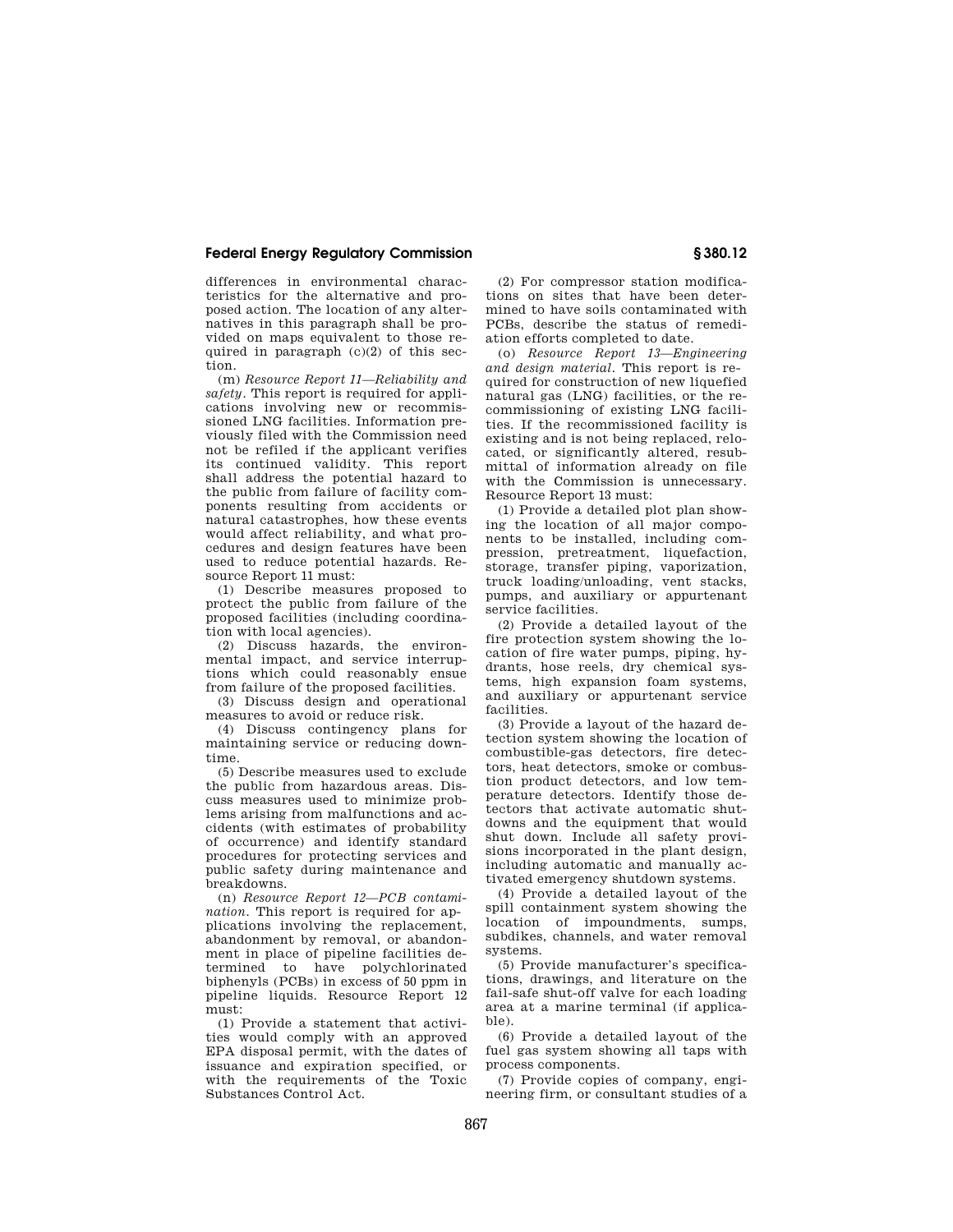differences in environmental characteristics for the alternative and proposed action. The location of any alternatives in this paragraph shall be provided on maps equivalent to those required in paragraph  $(c)(2)$  of this section.

(m) *Resource Report 11—Reliability and safety.* This report is required for applications involving new or recommissioned LNG facilities. Information previously filed with the Commission need not be refiled if the applicant verifies its continued validity. This report shall address the potential hazard to the public from failure of facility components resulting from accidents or natural catastrophes, how these events would affect reliability, and what procedures and design features have been used to reduce potential hazards. Resource Report 11 must:

(1) Describe measures proposed to protect the public from failure of the proposed facilities (including coordination with local agencies).

(2) Discuss hazards, the environmental impact, and service interruptions which could reasonably ensue from failure of the proposed facilities.

(3) Discuss design and operational measures to avoid or reduce risk.

(4) Discuss contingency plans for maintaining service or reducing downtime.

(5) Describe measures used to exclude the public from hazardous areas. Discuss measures used to minimize problems arising from malfunctions and accidents (with estimates of probability of occurrence) and identify standard procedures for protecting services and public safety during maintenance and .<br>breakdowns.

(n) *Resource Report 12—PCB contamination.* This report is required for applications involving the replacement, abandonment by removal, or abandonment in place of pipeline facilities determined to have polychlorinated biphenyls (PCBs) in excess of 50 ppm in pipeline liquids. Resource Report 12 must:

(1) Provide a statement that activities would comply with an approved EPA disposal permit, with the dates of issuance and expiration specified, or with the requirements of the Toxic Substances Control Act.

(2) For compressor station modifications on sites that have been determined to have soils contaminated with PCBs, describe the status of remediation efforts completed to date.

(o) *Resource Report 13—Engineering and design material.* This report is required for construction of new liquefied natural gas (LNG) facilities, or the recommissioning of existing LNG facilities. If the recommissioned facility is existing and is not being replaced, relocated, or significantly altered, resubmittal of information already on file with the Commission is unnecessary. Resource Report 13 must:

(1) Provide a detailed plot plan showing the location of all major components to be installed, including compression, pretreatment, liquefaction, storage, transfer piping, vaporization, truck loading/unloading, vent stacks, pumps, and auxiliary or appurtenant service facilities.

(2) Provide a detailed layout of the fire protection system showing the location of fire water pumps, piping, hydrants, hose reels, dry chemical systems, high expansion foam systems, and auxiliary or appurtenant service facilities.

(3) Provide a layout of the hazard detection system showing the location of combustible-gas detectors, fire detectors, heat detectors, smoke or combustion product detectors, and low temperature detectors. Identify those detectors that activate automatic shutdowns and the equipment that would shut down. Include all safety provisions incorporated in the plant design, including automatic and manually activated emergency shutdown systems.

(4) Provide a detailed layout of the spill containment system showing the location of impoundments, sumps, subdikes, channels, and water removal systems.

(5) Provide manufacturer's specifications, drawings, and literature on the fail-safe shut-off valve for each loading area at a marine terminal (if applicable).

(6) Provide a detailed layout of the fuel gas system showing all taps with process components.

(7) Provide copies of company, engineering firm, or consultant studies of a